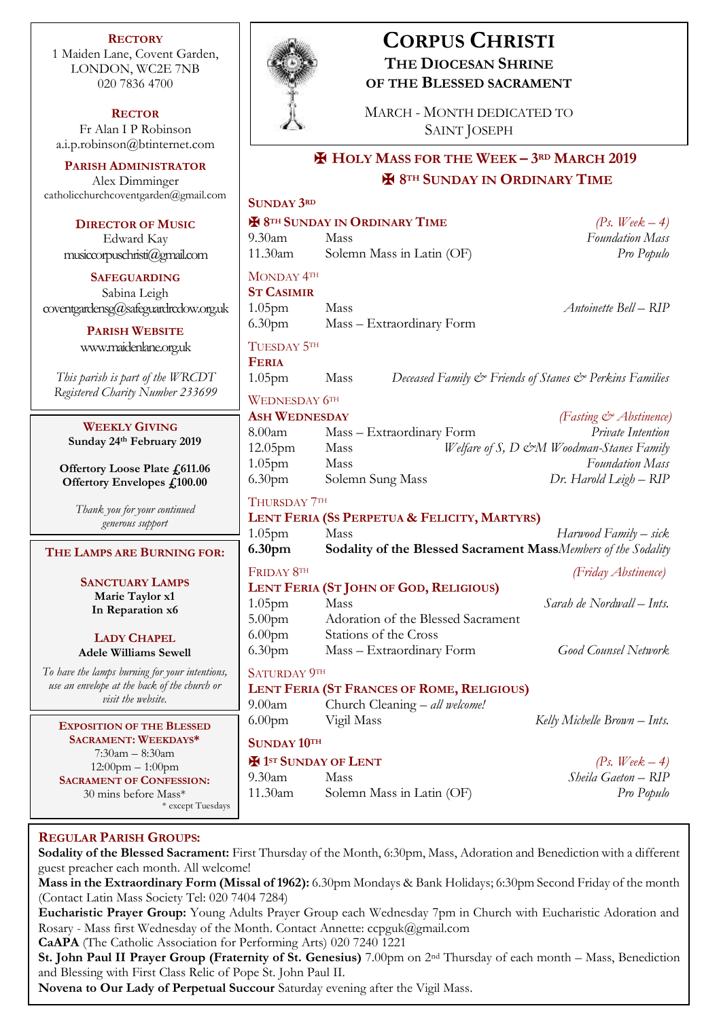**RECTORY** 1 Maiden Lane, Covent Garden, LONDON, WC2E 7NB 020 7836 4700

**RECTOR** Fr Alan I P Robinson [a.i.p.robinson@btinternet.com](mailto:a.i.p.robinson@btinternet.com)

**PARISH ADMINISTRATOR** Alex Dimminger [catholicchurchcoventgarden@gmail.com](mailto:catholicchurchcoventgarden@gmail.com)

**DIRECTOR OF MUSIC** Edward Kay musiccorpuschristi@gmail.com

**SAFEGUARDING** Sabina Leigh [coventgardensg@safeguardrcdow.org.uk](mailto:coventgardensg@safeguardrcdow.org.uk)

> **PARISH WEBSITE** [www.maidenlane.org.uk](http://www.maidenlane.org.uk/)

*This parish is part of the WRCDT Registered Charity Number 233699*

**WEEKLY GIVING Sunday 24th February 2019** 

**Offertory Loose Plate £611.06 Offertory Envelopes £100.00**

*Thank you for your continued generous support*

#### **THE LAMPS ARE BURNING FOR:**

**SANCTUARY LAMPS Marie Taylor x1 In Reparation x6**

**LADY CHAPEL Adele Williams Sewell**

*To have the lamps burning for your intentions, use an envelope at the back of the church or visit the website.*

**EXPOSITION OF THE BLESSED SACRAMENT: WEEKDAYS\*** 7:30am – 8:30am 12:00pm – 1:00pm **SACRAMENT OF CONFESSION:**  30 mins before Mass\*

\* except Tuesdays



# **CORPUS CHRISTI THE DIOCESAN SHRINE OF THE BLESSED SACRAMENT**

MARCH - MONTH DEDICATED TO SAINT JOSEPH

## ✠ **HOLY MASS FOR THE WEEK – 3RD MARCH 2019** ✠ **8TH SUNDAY IN ORDINARY TIME**

## **SUNDAY 3RD**  $\bigoplus$  8<sup>TH</sup> SUNDAY IN ORDINARY TIME *(Ps. Week – 4)* 9.30am Mass *Foundation Mass* 11.30am Solemn Mass in Latin (OF) *Pro Populo* MONDAY 4TH **ST CASIMIR** 1.05pm Mass *Antoinette Bell – RIP* 6.30pm Mass – Extraordinary Form TUESDAY 5TH **FERIA** 1.05pm Mass *Deceased Family & Friends of Stanes & Perkins Families* WEDNESDAY  $6<sup>TH</sup>$ **ASH WEDNESDAY** *(Fasting & Abstinence)* 8.00am Mass – Extraordinary Form *Private Intention* 12.05pm Mass *Welfare of S, D &M Woodman-Stanes Family* 1.05pm Mass *Foundation Mass* 6.30pm Solemn Sung Mass *Dr. Harold Leigh – RIP* THURSDAY 7TH **LENT FERIA (SS PERPETUA & FELICITY, MARTYRS)** 1.05pm Mass *Harwood Family – sick* **6.30pm Sodality of the Blessed Sacrament Mass***Members of the Sodality* FRIDAY 8TH *(Friday Abstinence)* **LENT FERIA (ST JOHN OF GOD, RELIGIOUS)** 1.05pm Mass *Sarah de Nordwall – Ints.* 5.00pm Adoration of the Blessed Sacrament 6.00pm Stations of the Cross 6.30pm Mass – Extraordinary Form *Good Counsel Network* SATURDAY 9TH **LENT FERIA (ST FRANCES OF ROME, RELIGIOUS)** 9.00am Church Cleaning – *all welcome!* 6.00pm Vigil Mass *Kelly Michelle Brown – Ints.* **SUNDAY 10TH**  $\mathbf{F}$  **1**st **SUNDAY OF LENT** *(Ps. Week – 4)* 9.30am Mass *Sheila Gaeton – RIP* 11.30am Solemn Mass in Latin (OF) *Pro Populo*

### **REGULAR PARISH GROUPS:**

**Sodality of the Blessed Sacrament:** First Thursday of the Month, 6:30pm, Mass, Adoration and Benediction with a different guest preacher each month. All welcome!

**Mass in the Extraordinary Form (Missal of 1962):** 6.30pm Mondays & Bank Holidays; 6:30pm Second Friday of the month (Contact Latin Mass Society Tel: 020 7404 7284)

**Eucharistic Prayer Group:** Young Adults Prayer Group each Wednesday 7pm in Church with Eucharistic Adoration and Rosary - Mass first Wednesday of the Month. Contact Annette: ccpguk@gmail.com

**CaAPA** (The Catholic Association for Performing Arts) 020 7240 1221

**St. John Paul II Prayer Group (Fraternity of St. Genesius)** 7.00pm on 2nd Thursday of each month – Mass, Benediction and Blessing with First Class Relic of Pope St. John Paul II.

**Novena to Our Lady of Perpetual Succour** Saturday evening after the Vigil Mass.